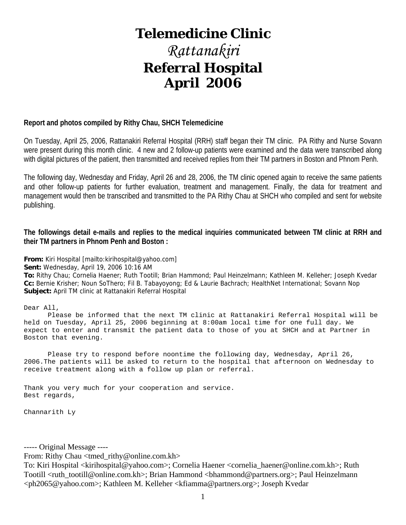# **Telemedicine Clinic**

# *Rattanakiri*  **Referral Hospital April 2006**

## **Report and photos compiled by Rithy Chau, SHCH Telemedicine**

On Tuesday, April 25, 2006, Rattanakiri Referral Hospital (RRH) staff began their TM clinic. PA Rithy and Nurse Sovann were present during this month clinic. 4 new and 2 follow-up patients were examined and the data were transcribed along with digital pictures of the patient, then transmitted and received replies from their TM partners in Boston and Phnom Penh.

The following day, Wednesday and Friday, April 26 and 28, 2006, the TM clinic opened again to receive the same patients and other follow-up patients for further evaluation, treatment and management. Finally, the data for treatment and management would then be transcribed and transmitted to the PA Rithy Chau at SHCH who compiled and sent for website publishing.

**The followings detail e-mails and replies to the medical inquiries communicated between TM clinic at RRH and their TM partners in Phnom Penh and Boston :** 

**From:** Kiri Hospital [mailto:kirihospital@yahoo.com]

**Sent:** Wednesday, April 19, 2006 10:16 AM

**To:** Rithy Chau; Cornelia Haener; Ruth Tootill; Brian Hammond; Paul Heinzelmann; Kathleen M. Kelleher; Joseph Kvedar **Cc:** Bernie Krisher; Noun SoThero; Fil B. Tabayoyong; Ed & Laurie Bachrach; HealthNet International; Sovann Nop **Subject:** April TM clinic at Rattanakiri Referral Hospital

#### Dear All,

 Please be informed that the next TM clinic at Rattanakiri Referral Hospital will be held on Tuesday, April 25, 2006 beginning at 8:00am local time for one full day. We expect to enter and transmit the patient data to those of you at SHCH and at Partner in Boston that evening.

 Please try to respond before noontime the following day, Wednesday, April 26, 2006.The patients will be asked to return to the hospital that afternoon on Wednesday to receive treatment along with a follow up plan or referral.

Thank you very much for your cooperation and service. Best regards,

Channarith Ly

----- Original Message ----

From: Rithy Chau <tmed\_rithy@online.com.kh>

To: Kiri Hospital <kirihospital@yahoo.com>; Cornelia Haener <cornelia\_haener@online.com.kh>; Ruth Tootill <ruth\_tootill@online.com.kh>; Brian Hammond <bhammond@partners.org>; Paul Heinzelmann <ph2065@yahoo.com>; Kathleen M. Kelleher <kfiamma@partners.org>; Joseph Kvedar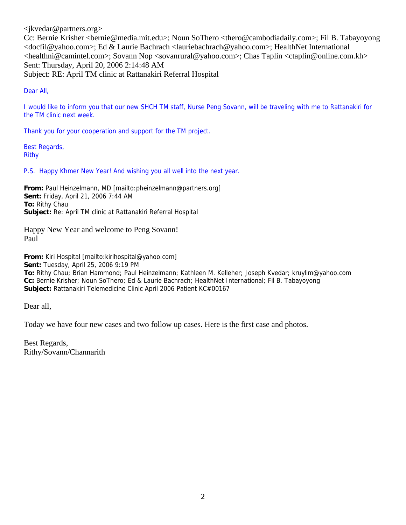<jkvedar@partners.org>

Cc: Bernie Krisher <bernie@media.mit.edu>; Noun SoThero <thero@cambodiadaily.com>; Fil B. Tabayoyong <docfil@yahoo.com>; Ed & Laurie Bachrach <lauriebachrach@yahoo.com>; HealthNet International <healthni@camintel.com>; Sovann Nop <sovanrural@yahoo.com>; Chas Taplin <ctaplin@online.com.kh> Sent: Thursday, April 20, 2006 2:14:48 AM Subject: RE: April TM clinic at Rattanakiri Referral Hospital

Dear All,

I would like to inform you that our new SHCH TM staff, Nurse Peng Sovann, will be traveling with me to Rattanakiri for the TM clinic next week.

Thank you for your cooperation and support for the TM project.

Best Regards, Rithy

P.S. Happy Khmer New Year! And wishing you all well into the next year.

**From:** Paul Heinzelmann, MD [mailto:pheinzelmann@partners.org] **Sent:** Friday, April 21, 2006 7:44 AM **To:** Rithy Chau **Subject:** Re: April TM clinic at Rattanakiri Referral Hospital

Happy New Year and welcome to Peng Sovann! Paul

**From:** Kiri Hospital [mailto:kirihospital@yahoo.com] **Sent:** Tuesday, April 25, 2006 9:19 PM **To:** Rithy Chau; Brian Hammond; Paul Heinzelmann; Kathleen M. Kelleher; Joseph Kvedar; kruylim@yahoo.com **Cc:** Bernie Krisher; Noun SoThero; Ed & Laurie Bachrach; HealthNet International; Fil B. Tabayoyong **Subject:** Rattanakiri Telemedicine Clinic April 2006 Patient KC#00167

Dear all,

Today we have four new cases and two follow up cases. Here is the first case and photos.

Best Regards, Rithy/Sovann/Channarith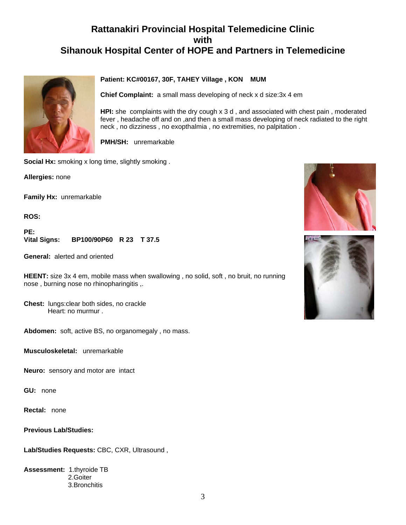

#### **Patient: KC#00167, 30F, TAHEY Village , KON MUM**

**Chief Complaint:** a small mass developing of neck x d size:3x 4 em

**HPI:** she complaints with the dry cough x 3 d , and associated with chest pain , moderated fever , headache off and on ,and then a small mass developing of neck radiated to the right neck , no dizziness , no exopthalmia , no extremities, no palpitation .

**PMH/SH:** unremarkable

**Social Hx:** smoking x long time, slightly smoking .

**Allergies:** none

**Family Hx:** unremarkable

**ROS:**

**PE: Vital Signs: BP100/90P60 R 23 T 37.5** 

**General:** alerted and oriented

**HEENT:** size 3x 4 em, mobile mass when swallowing , no solid, soft , no bruit, no running nose , burning nose no rhinopharingitis ,.

**Chest:** lungs:clear both sides, no crackle Heart: no murmur .

**Abdomen:** soft, active BS, no organomegaly , no mass.

**Musculoskeletal:** unremarkable

**Neuro:** sensory and motor are intact

**GU:** none

**Rectal:** none

**Previous Lab/Studies:**

**Lab/Studies Requests:** CBC, CXR, Ultrasound ,

**Assessment:** 1.thyroide TB 2.Goiter 3.Bronchitis



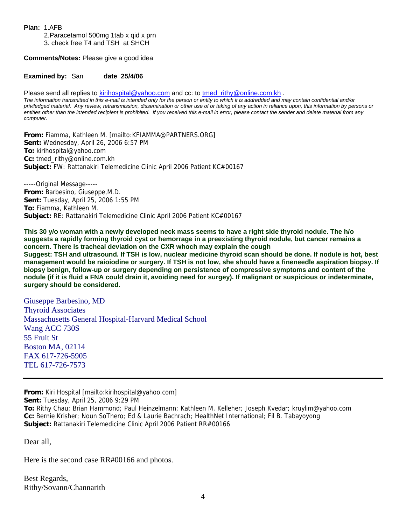**Plan:** 1.AFB

 2.Paracetamol 500mg 1tab x qid x prn 3. check free T4 and TSH at SHCH

**Comments/Notes:** Please give a good idea

**Examined by: San date 25/4/06** 

Please send all replies to [kirihospital@yahoo.com](mailto:kirihospital@yahoo.com) and cc: to [tmed\\_rithy@online.com.kh](mailto:tmed_rithy@bigpond.com.kh) .

*The information transmitted in this e-mail is intended only for the person or entity to which it is addredded and may contain confidential and/or priviledged material. Any review, retransmission, dissemination or other use of or taking of any action in reliance upon, this information by persons or entities other than the intended recipient is prohibited. If you received this e-mail in error, please contact the sender and delete material from any computer.*

**From:** Fiamma, Kathleen M. [mailto:KFIAMMA@PARTNERS.ORG] **Sent:** Wednesday, April 26, 2006 6:57 PM **To:** kirihospital@yahoo.com **Cc:** tmed\_rithy@online.com.kh **Subject:** FW: Rattanakiri Telemedicine Clinic April 2006 Patient KC#00167

-----Original Message----- **From:** Barbesino, Giuseppe,M.D. **Sent:** Tuesday, April 25, 2006 1:55 PM **To:** Fiamma, Kathleen M. **Subject:** RE: Rattanakiri Telemedicine Clinic April 2006 Patient KC#00167

**This 30 y/o woman with a newly developed neck mass seems to have a right side thyroid nodule. The h/o suggests a rapidly forming thyroid cyst or hemorrage in a preexisting thyroid nodule, but cancer remains a concern. There is tracheal deviation on the CXR whoch may explain the cough Suggest: TSH and ultrasound. If TSH is low, nuclear medicine thyroid scan should be done. If nodule is hot, best management would be raioiodine or surgery. If TSH is not low, she should have a fineneedle aspiration biopsy. If biopsy benign, follow-up or surgery depending on persistence of compressive symptoms and content of the** 

**nodule (if it is fluid a FNA could drain it, avoiding need for surgey). If malignant or suspicious or indeterminate, surgery should be considered.** 

Giuseppe Barbesino, MD Thyroid Associates Massachusetts General Hospital-Harvard Medical School Wang ACC 730S 55 Fruit St Boston MA, 02114 FAX 617-726-5905 TEL 617-726-7573

**From:** Kiri Hospital [mailto:kirihospital@yahoo.com]

**Sent:** Tuesday, April 25, 2006 9:29 PM

**To:** Rithy Chau; Brian Hammond; Paul Heinzelmann; Kathleen M. Kelleher; Joseph Kvedar; kruylim@yahoo.com **Cc:** Bernie Krisher; Noun SoThero; Ed & Laurie Bachrach; HealthNet International; Fil B. Tabayoyong **Subject:** Rattanakiri Telemedicine Clinic April 2006 Patient RR#00166

Dear all,

Here is the second case RR#00166 and photos.

Best Regards, Rithy/Sovann/Channarith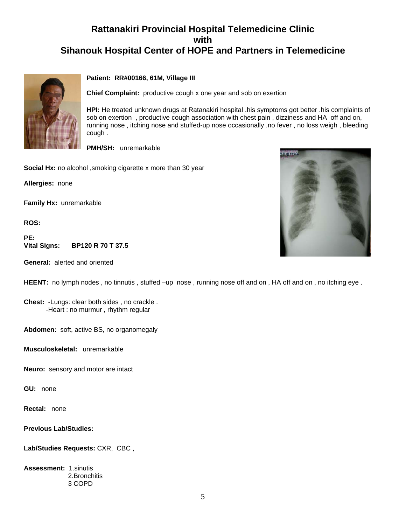

#### **Patient: RR#00166, 61M, Village III**

**Chief Complaint:** productive cough x one year and sob on exertion

**HPI:** He treated unknown drugs at Ratanakiri hospital .his symptoms got better .his complaints of sob on exertion , productive cough association with chest pain , dizziness and HA off and on, running nose , itching nose and stuffed-up nose occasionally .no fever , no loss weigh , bleeding cough .

**PMH/SH:** unremarkable

**Social Hx:** no alcohol ,smoking cigarette x more than 30 year

**Allergies:** none

**Family Hx:** unremarkable

**ROS:**

PE:<br>Vital Signs: **Vital Signs: BP120 R 70 T 37.5** 

**General:** alerted and oriented



**HEENT:** no lymph nodes, no tinnutis, stuffed –up nose, running nose off and on, HA off and on, no itching eye.

**Chest:** -Lungs: clear both sides , no crackle . -Heart : no murmur , rhythm regular

**Abdomen:** soft, active BS, no organomegaly

**Musculoskeletal:** unremarkable

**Neuro:** sensory and motor are intact

**GU:** none

**Rectal:** none

**Previous Lab/Studies:**

**Lab/Studies Requests:** CXR, CBC ,

**Assessment:** 1.sinutis 2.Bronchitis 3 COPD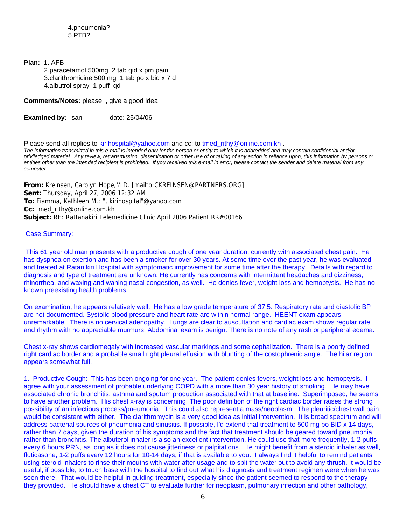**Plan:** 1. AFB

 2.paracetamol 500mg 2 tab qid x prn pain 3.clarithromicine 500 mg 1 tab po x bid x 7 d 4.albutrol spray 1 puff qd

**Comments/Notes:** please , give a good idea

**Examined by:** san date: 25/04/06

Please send all replies to [kirihospital@yahoo.com](mailto:kirihospital@yahoo.com) and cc: to tmed rithy@online.com.kh . *The information transmitted in this e-mail is intended only for the person or entity to which it is addredded and may contain confidential and/or priviledged material. Any review, retransmission, dissemination or other use of or taking of any action in reliance upon, this information by persons or entities other than the intended recipient is prohibited. If you received this e-mail in error, please contact the sender and delete material from any computer.*

**From:** Kreinsen, Carolyn Hope,M.D. [mailto:CKREINSEN@PARTNERS.ORG] **Sent:** Thursday, April 27, 2006 12:32 AM **To:** Fiamma, Kathleen M.; ", kirihospital"@yahoo.com **Cc:** tmed\_rithy@online.com.kh **Subject:** RE: Rattanakiri Telemedicine Clinic April 2006 Patient RR#00166

#### Case Summary:

This 61 year old man presents with a productive cough of one year duration, currently with associated chest pain. He has dyspnea on exertion and has been a smoker for over 30 years. At some time over the past year, he was evaluated and treated at Ratanikiri Hospital with symptomatic improvement for some time after the therapy. Details with regard to diagnosis and type of treatment are unknown. He currently has concerns with intermittent headaches and dizziness, rhinorrhea, and waxing and waning nasal congestion, as well. He denies fever, weight loss and hemoptysis. He has no known preexisting health problems.

On examination, he appears relatively well. He has a low grade temperature of 37.5. Respiratory rate and diastolic BP are not documented. Systolic blood pressure and heart rate are within normal range. HEENT exam appears unremarkable. There is no cervical adenopathy. Lungs are clear to auscultation and cardiac exam shows regular rate and rhythm with no appreciable murmurs. Abdominal exam is benign. There is no note of any rash or peripheral edema.

Chest x-ray shows cardiomegaly with increased vascular markings and some cephalization. There is a poorly defined right cardiac border and a probable small right pleural effusion with blunting of the costophrenic angle. The hilar region appears somewhat full.

1. Productive Cough: This has been ongoing for one year. The patient denies fevers, weight loss and hemoptysis. I agree with your assessment of probable underlying COPD with a more than 30 year history of smoking. He may have associated chronic bronchitis, asthma and sputum production associated with that at baseline. Superimposed, he seems to have another problem. His chest x-ray is concerning. The poor definition of the right cardiac border raises the strong possibility of an infectious process/pneumonia. This could also represent a mass/neoplasm. The pleuritic/chest wall pain would be consistent with either. The clarithromycin is a very good idea as initial intervention. It is broad spectrum and will address bacterial sources of pneumonia and sinusitis. If possible, I'd extend that treatment to 500 mg po BID x 14 days, rather than 7 days, given the duration of his symptoms and the fact that treatment should be geared toward pneumonia rather than bronchitis. The albuterol inhaler is also an excellent intervention. He could use that more frequently, 1-2 puffs every 6 hours PRN, as long as it does not cause jitteriness or palpitations. He might benefit from a steroid inhaler as well, fluticasone, 1-2 puffs every 12 hours for 10-14 days, if that is available to you. I always find it helpful to remind patients using steroid inhalers to rinse their mouths with water after usage and to spit the water out to avoid any thrush. It would be useful, if possible, to touch base with the hospital to find out what his diagnosis and treatment regimen were when he was seen there. That would be helpful in guiding treatment, especially since the patient seemed to respond to the therapy they provided. He should have a chest CT to evaluate further for neoplasm, pulmonary infection and other pathology,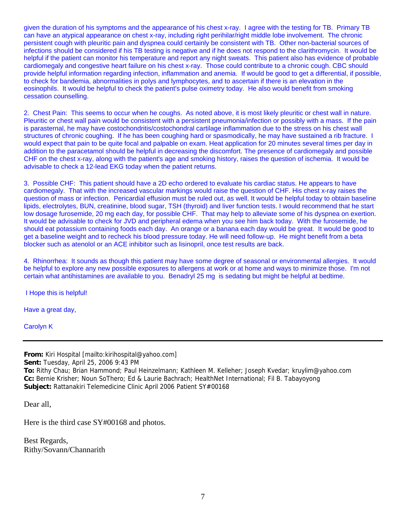given the duration of his symptoms and the appearance of his chest x-ray. I agree with the testing for TB. Primary TB can have an atypical appearance on chest x-ray, including right perihilar/right middle lobe involvement. The chronic persistent cough with pleuritic pain and dyspnea could certainly be consistent with TB. Other non-bacterial sources of infections should be considered if his TB testing is negative and if he does not respond to the clarithromycin. It would be helpful if the patient can monitor his temperature and report any night sweats. This patient also has evidence of probable cardiomegaly and congestive heart failure on his chest x-ray. Those could contribute to a chronic cough. CBC should provide helpful information regarding infection, inflammation and anemia. If would be good to get a differential, if possible, to check for bandemia, abnormalities in polys and lymphocytes, and to ascertain if there is an elevation in the eosinophils. It would be helpful to check the patient's pulse oximetry today. He also would benefit from smoking cessation counselling.

2. Chest Pain: This seems to occur when he coughs. As noted above, it is most likely pleuritic or chest wall in nature. Pleuritic or chest wall pain would be consistent with a persistent pneumonia/infection or possibly with a mass. If the pain is parasternal, he may have costochondritis/costochondral cartilage inflammation due to the stress on his chest wall structures of chronic coughing. If he has been coughing hard or spasmodically, he may have sustained a rib fracture. I would expect that pain to be quite focal and palpable on exam. Heat application for 20 minutes several times per day in addition to the paracetamol should be helpful in decreasing the discomfort. The presence of cardiomegaly and possible CHF on the chest x-ray, along with the patient's age and smoking history, raises the question of ischemia. It would be advisable to check a 12-lead EKG today when the patient returns.

3. Possible CHF: This patient should have a 2D echo ordered to evaluate his cardiac status. He appears to have cardiomegaly. That with the increased vascular markings would raise the question of CHF. His chest x-ray raises the question of mass or infection. Pericardial effusion must be ruled out, as well. It would be helpful today to obtain baseline lipids, electrolytes, BUN, creatinine, blood sugar, TSH (thyroid) and liver function tests. I would recommend that he start low dosage furosemide, 20 mg each day, for possible CHF. That may help to alleviate some of his dyspnea on exertion. It would be advisable to check for JVD and peripheral edema when you see him back today. With the furosemide, he should eat potassium containing foods each day. An orange or a banana each day would be great. It would be good to get a baseline weight and to recheck his blood pressure today. He will need follow-up. He might benefit from a beta blocker such as atenolol or an ACE inhibitor such as lisinopril, once test results are back.

4. Rhinorrhea: It sounds as though this patient may have some degree of seasonal or environmental allergies. It would be helpful to explore any new possible exposures to allergens at work or at home and ways to minimize those. I'm not certain what antihistamines are available to you. Benadryl 25 mg is sedating but might be helpful at bedtime.

I Hope this is helpful!

Have a great day,

Carolyn K

**From:** Kiri Hospital [mailto:kirihospital@yahoo.com] **Sent:** Tuesday, April 25, 2006 9:43 PM **To:** Rithy Chau; Brian Hammond; Paul Heinzelmann; Kathleen M. Kelleher; Joseph Kvedar; kruylim@yahoo.com **Cc:** Bernie Krisher; Noun SoThero; Ed & Laurie Bachrach; HealthNet International; Fil B. Tabayoyong Subject: Rattanakiri Telemedicine Clinic April 2006 Patient SY#00168

Dear all,

Here is the third case SY#00168 and photos.

Best Regards, Rithy/Sovann/Channarith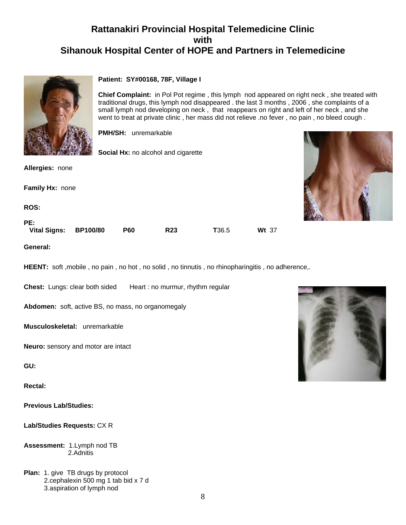

#### **Patient: SY#00168, 78F, Village I**

**Chief Complaint:** in Pol Pot regime , this lymph nod appeared on right neck , she treated with traditional drugs, this lymph nod disappeared . the last 3 months , 2006 , she complaints of a small lymph nod developing on neck , that reappears on right and left of her neck , and she went to treat at private clinic , her mass did not relieve .no fever , no pain , no bleed cough .

**PMH/SH:** unremarkable

**Social Hx:** no alcohol and cigarette

**Allergies:** none

**Family Hx:** none

**ROS:**

#### **PE:**

 **Vital Signs: BP100/80 P60 R23 T**36.5 **Wt** 37

**General:**

**HEENT:** soft ,mobile , no pain , no hot , no solid , no tinnutis , no rhinopharingitis , no adherence,.

**Chest:** Lungs: clear both sided Heart : no murmur, rhythm regular

**Abdomen:** soft, active BS, no mass, no organomegaly

**Musculoskeletal:** unremarkable

**Neuro:** sensory and motor are intact

**GU:**

**Rectal:**

**Previous Lab/Studies:**

**Lab/Studies Requests:** CX R

**Assessment:** 1.Lymph nod TB 2.Adnitis

**Plan:** 1. give TB drugs by protocol 2.cephalexin 500 mg 1 tab bid x 7 d 3.aspiration of lymph nod

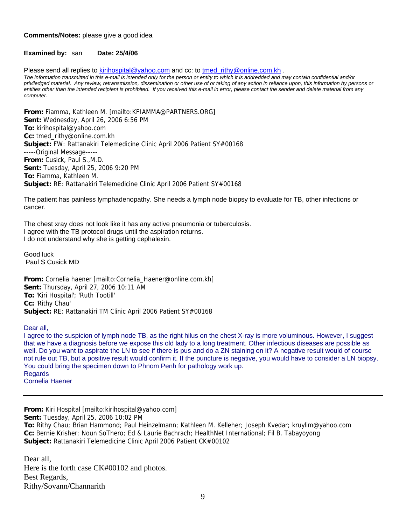#### **Comments/Notes:** please give a good idea

#### **Examined by:** san **Date: 25/4/06**

Please send all replies to [kirihospital@yahoo.com](mailto:kirihospital@yahoo.com) and cc: to [tmed\\_rithy@online.com.kh](mailto:tmed_rithy@bigpond.com.kh) .

*The information transmitted in this e-mail is intended only for the person or entity to which it is addredded and may contain confidential and/or priviledged material. Any review, retransmission, dissemination or other use of or taking of any action in reliance upon, this information by persons or entities other than the intended recipient is prohibited. If you received this e-mail in error, please contact the sender and delete material from any computer.* 

**From:** Fiamma, Kathleen M. [mailto:KFIAMMA@PARTNERS.ORG] **Sent:** Wednesday, April 26, 2006 6:56 PM **To:** kirihospital@yahoo.com **Cc:** tmed\_rithy@online.com.kh **Subject:** FW: Rattanakiri Telemedicine Clinic April 2006 Patient SY#00168 -----Original Message----- **From:** Cusick, Paul S.,M.D. **Sent:** Tuesday, April 25, 2006 9:20 PM **To:** Fiamma, Kathleen M. **Subject:** RE: Rattanakiri Telemedicine Clinic April 2006 Patient SY#00168

The patient has painless lymphadenopathy. She needs a lymph node biopsy to evaluate for TB, other infections or cancer.

The chest xray does not look like it has any active pneumonia or tuberculosis. I agree with the TB protocol drugs until the aspiration returns. I do not understand why she is getting cephalexin.

Good luck Paul S Cusick MD

**From:** Cornelia haener [mailto:Cornelia\_Haener@online.com.kh] **Sent:** Thursday, April 27, 2006 10:11 AM **To:** 'Kiri Hospital'; 'Ruth Tootill' **Cc:** 'Rithy Chau' **Subject:** RE: Rattanakiri TM Clinic April 2006 Patient SY#00168

Dear all,

I agree to the suspicion of lymph node TB, as the right hilus on the chest X-ray is more voluminous. However, I suggest that we have a diagnosis before we expose this old lady to a long treatment. Other infectious diseases are possible as well. Do you want to aspirate the LN to see if there is pus and do a ZN staining on it? A negative result would of course not rule out TB, but a positive result would confirm it. If the puncture is negative, you would have to consider a LN biopsy. You could bring the specimen down to Phnom Penh for pathology work up. Regards

Cornelia Haener

**From:** Kiri Hospital [mailto:kirihospital@yahoo.com] **Sent:** Tuesday, April 25, 2006 10:02 PM **To:** Rithy Chau; Brian Hammond; Paul Heinzelmann; Kathleen M. Kelleher; Joseph Kvedar; kruylim@yahoo.com **Cc:** Bernie Krisher; Noun SoThero; Ed & Laurie Bachrach; HealthNet International; Fil B. Tabayoyong **Subject:** Rattanakiri Telemedicine Clinic April 2006 Patient CK#00102

Dear all, Here is the forth case CK#00102 and photos. Best Regards, Rithy/Sovann/Channarith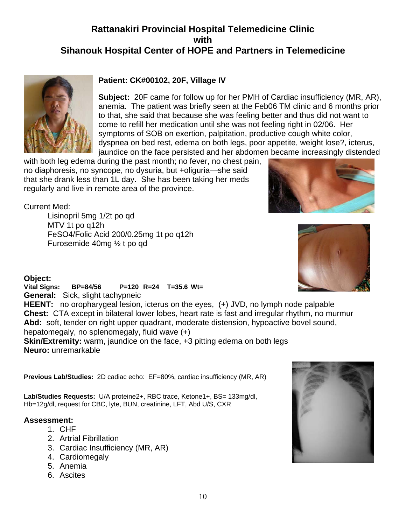

## **Patient: CK#00102, 20F, Village IV**

**Subject:** 20F came for follow up for her PMH of Cardiac insufficiency (MR, AR), anemia. The patient was briefly seen at the Feb06 TM clinic and 6 months prior to that, she said that because she was feeling better and thus did not want to come to refill her medication until she was not feeling right in 02/06. Her symptoms of SOB on exertion, palpitation, productive cough white color, dyspnea on bed rest, edema on both legs, poor appetite, weight lose?, icterus, jaundice on the face persisted and her abdomen became increasingly distended

with both leg edema during the past month; no fever, no chest pain, no diaphoresis, no syncope, no dysuria, but +oliguria—she said that she drank less than 1L day. She has been taking her meds regularly and live in remote area of the province.



Current Med:

Lisinopril 5mg 1/2t po qd MTV 1t po q12h FeSO4/Folic Acid 200/0.25mg 1t po q12h Furosemide 40mg ½ t po qd

## **Object:**

**Vital Signs: BP=84/56 P=120 R=24 T=35.6 Wt= General:** Sick, slight tachypneic **HEENT:** no oropharygeal lesion, icterus on the eyes, (+) JVD, no lymph node palpable **Chest:** CTA except in bilateral lower lobes, heart rate is fast and irregular rhythm, no murmur **Abd:** soft, tender on right upper quadrant, moderate distension, hypoactive bovel sound, hepatomegaly, no splenomegaly, fluid wave (+)

**Skin/Extremity:** warm, jaundice on the face, +3 pitting edema on both legs **Neuro:** unremarkable

**Previous Lab/Studies:** 2D cadiac echo: EF=80%, cardiac insufficiency (MR, AR)

Lab/Studies Requests: U/A proteine2+, RBC trace, Ketone1+, BS= 133mg/dl, Hb=12g/dl, request for CBC, lyte, BUN, creatinine, LFT, Abd U/S, CXR

## **Assessment:**

- 1. CHF
- 2. Artrial Fibrillation
- 3. Cardiac Insufficiency (MR, AR)
- 4. Cardiomegaly
- 5. Anemia
- 6. Ascites

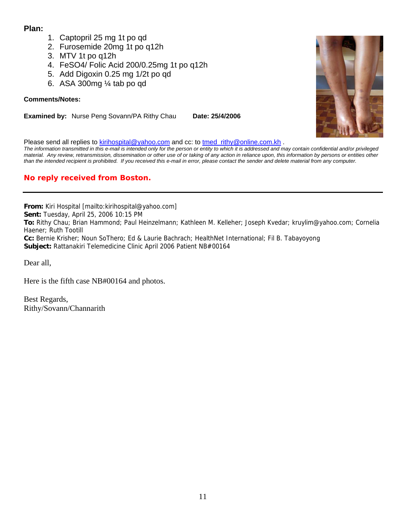## **Plan:**

- 1. Captopril 25 mg 1t po qd
- 2. Furosemide 20mg 1t po q12h
- 3. MTV 1t po q12h
- 4. FeSO4/ Folic Acid 200/0.25mg 1t po q12h
- 5. Add Digoxin 0.25 mg 1/2t po qd
- 6. ASA 300mg ¼ tab po qd

## **Comments/Notes:**

**Examined by:** Nurse Peng Sovann/PA Rithy Chau Date: 25/4/2006

Please send all replies to [kirihospital@yahoo.com](mailto:kirihospital@yahoo.com) and cc: to [tmed\\_rithy@online.com.kh](mailto:tmed_rithy@bigpond.com.kh) .

*The information transmitted in this e-mail is intended only for the person or entity to which it is addressed and may contain confidential and/or privileged material. Any review, retransmission, dissemination or other use of or taking of any action in reliance upon, this information by persons or entities other than the intended recipient is prohibited. If you received this e-mail in error, please contact the sender and delete material from any computer.*

## **No reply received from Boston.**

**From:** Kiri Hospital [mailto:kirihospital@yahoo.com] **Sent:** Tuesday, April 25, 2006 10:15 PM **To:** Rithy Chau; Brian Hammond; Paul Heinzelmann; Kathleen M. Kelleher; Joseph Kvedar; kruylim@yahoo.com; Cornelia Haener; Ruth Tootill **Cc:** Bernie Krisher; Noun SoThero; Ed & Laurie Bachrach; HealthNet International; Fil B. Tabayoyong **Subject:** Rattanakiri Telemedicine Clinic April 2006 Patient NB#00164

Dear all,

Here is the fifth case NB#00164 and photos.

Best Regards, Rithy/Sovann/Channarith

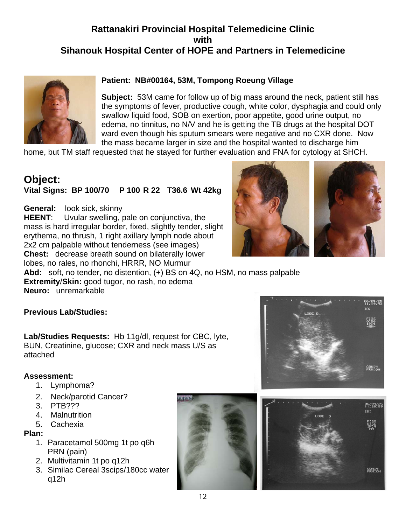

## **Patient: NB#00164, 53M, Tompong Roeung Village**

**Subject:** 53M came for follow up of big mass around the neck, patient still has the symptoms of fever, productive cough, white color, dysphagia and could only swallow liquid food, SOB on exertion, poor appetite, good urine output, no edema, no tinnitus, no N/V and he is getting the TB drugs at the hospital DOT ward even though his sputum smears were negative and no CXR done. Now the mass became larger in size and the hospital wanted to discharge him

home, but TM staff requested that he stayed for further evaluation and FNA for cytology at SHCH.

# **Object:**

## **Vital Signs: BP 100/70 P 100 R 22 T36.6 Wt 42kg**

**General:** look sick, skinny **HEENT**: Uvular swelling, pale on conjunctiva, the mass is hard irregular border, fixed, slightly tender, slight erythema, no thrush, 1 right axillary lymph node about 2x2 cm palpable without tenderness (see images) **Chest:** decrease breath sound on bilaterally lower lobes, no rales, no rhonchi, HRRR, NO Murmur



**Abd:** soft, no tender, no distention, (+) BS on 4Q, no HSM, no mass palpable **Extremity**/**Skin:** good tugor, no rash, no edema

**Neuro:** unremarkable

## **Previous Lab/Studies:**

**Lab/Studies Requests:** Hb 11g/dl, request for CBC, lyte, BUN, Creatinine, glucose; CXR and neck mass U/S as attached

## **Assessment:**

- 1. Lymphoma?
- 2. Neck/parotid Cancer?
- 3. PTB???
- 4. Malnutrition
- 5. Cachexia

## **Plan:**

- 1. Paracetamol 500mg 1t po q6h PRN (pain)
- 2. Multivitamin 1t po q12h
- 3. Similac Cereal 3scips/180cc water q12h





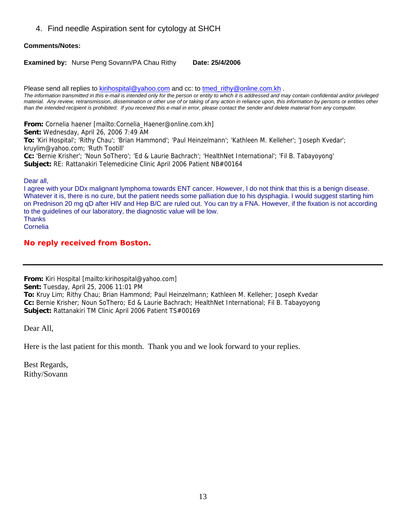4. Find needle Aspiration sent for cytology at SHCH

#### **Comments/Notes:**

**Examined by:** Nurse Peng Sovann/PA Chau Rithy **Date: 25/4/2006** 

Please send all replies to [kirihospital@yahoo.com](mailto:kirihospital@yahoo.com) and cc: to tmed rithy@online.com.kh .

*The information transmitted in this e-mail is intended only for the person or entity to which it is addressed and may contain confidential and/or privileged material. Any review, retransmission, dissemination or other use of or taking of any action in reliance upon, this information by persons or entities other than the intended recipient is prohibited. If you received this e-mail in error, please contact the sender and delete material from any computer.*

**From:** Cornelia haener [mailto:Cornelia\_Haener@online.com.kh] **Sent:** Wednesday, April 26, 2006 7:49 AM **To:** 'Kiri Hospital'; 'Rithy Chau'; 'Brian Hammond'; 'Paul Heinzelmann'; 'Kathleen M. Kelleher'; 'Joseph Kvedar'; kruylim@yahoo.com; 'Ruth Tootill' **Cc:** 'Bernie Krisher'; 'Noun SoThero'; 'Ed & Laurie Bachrach'; 'HealthNet International'; 'Fil B. Tabayoyong' **Subject:** RE: Rattanakiri Telemedicine Clinic April 2006 Patient NB#00164

Dear all,

I agree with your DDx malignant lymphoma towards ENT cancer. However, I do not think that this is a benign disease. Whatever it is, there is no cure, but the patient needs some palliation due to his dysphagia. I would suggest starting him on Prednison 20 mg qD after HIV and Hep B/C are ruled out. You can try a FNA. However, if the fixation is not according to the guidelines of our laboratory, the diagnostic value will be low. **Thanks** Cornelia

## **No reply received from Boston.**

**From:** Kiri Hospital [mailto:kirihospital@yahoo.com]

**Sent:** Tuesday, April 25, 2006 11:01 PM

**To:** Kruy Lim; Rithy Chau; Brian Hammond; Paul Heinzelmann; Kathleen M. Kelleher; Joseph Kvedar **Cc:** Bernie Krisher; Noun SoThero; Ed & Laurie Bachrach; HealthNet International; Fil B. Tabayoyong **Subject:** Rattanakiri TM Clinic April 2006 Patient TS#00169

Dear All,

Here is the last patient for this month. Thank you and we look forward to your replies.

Best Regards, Rithy/Sovann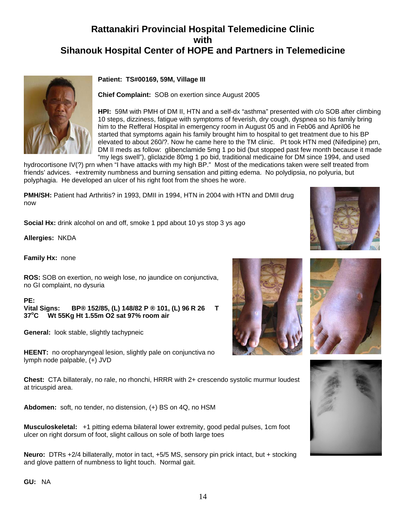

#### **Patient: TS#00169, 59M, Village III**

**Chief Complaint:** SOB on exertion since August 2005

DM II meds as follow: glibenclamide 5mg 1 po bid (but stopped past few month because it made **HPI:** 59M with PMH of DM II, HTN and a self-dx "asthma" presented with c/o SOB after climbing 10 steps, dizziness, fatigue with symptoms of feverish, dry cough, dyspnea so his family bring him to the Refferal Hospital in emergency room in August 05 and in Feb06 and April06 he started that symptoms again his family brought him to hospital to get treatment due to his BP elevated to about 260/?. Now he came here to the TM clinic. Pt took HTN med (Nifedipine) prn, "my legs swell"), gliclazide 80mg 1 po bid, traditional medicaine for DM since 1994, and used

hydrocortisone IV(?) prn when "I have attacks with my high BP." Most of the medications taken were self treated from friends' advices. +extremity numbness and burning sensation and pitting edema. No polydipsia, no polyuria, but polyphagia. He developed an ulcer of his right foot from the shoes he wore.

**PMH/SH:** Patient had Arthritis? in 1993, DMII in 1994, HTN in 2004 with HTN and DMII drug now

**Social Hx:** drink alcohol on and off, smoke 1 ppd about 10 ys stop 3 ys ago

**Allergies:** NKDA

**Family Hx:** none

**ROS:** SOB on exertion, no weigh lose, no jaundice on conjunctiva, no GI complaint, no dysuria

**PE:** 

**Vital Signs: BP® 152/85, (L) 148/82 P ® 101, (L) 96 R 26 T 37o C Wt 55Kg Ht 1.55m O2 sat 97% room air**

**General:** look stable, slightly tachypneic

**HEENT:** no oropharyngeal lesion, slightly pale on conjunctiva no lymph node palpable, (+) JVD

**Chest:** CTA billateraly, no rale, no rhonchi, HRRR with 2+ crescendo systolic murmur loudest at tricuspid area.

**Abdomen:** soft, no tender, no distension, (+) BS on 4Q, no HSM

**Musculoskeletal:** +1 pitting edema bilateral lower extremity, good pedal pulses, 1cm foot ulcer on right dorsum of foot, slight callous on sole of both large toes

**Neuro:** DTRs +2/4 billaterally, motor in tact, +5/5 MS, sensory pin prick intact, but + stocking and glove pattern of numbness to light touch. Normal gait.









**GU:** NA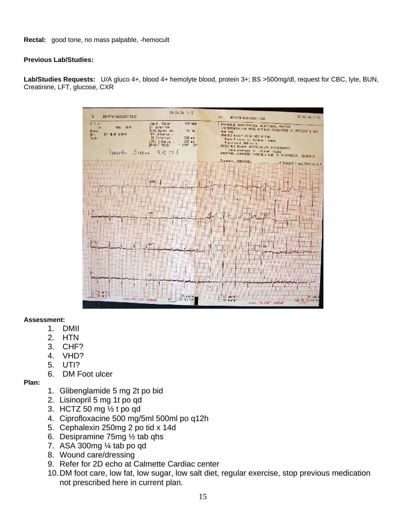**Rectal:** good tone, no mass palpable, -hemocult

#### **Previous Lab/Studies:**

**Lab/Studies Requests:** U/A gluco 4+, blood 4+ hemolyte blood, protein 3+; BS >500mg/dl, request for CBC, lyte, BUN, Creatinine, LFT, glucose, CXR



#### **Assessment:**

- 1. DMII
- 2. HTN
- 3. CHF?
- 4. VHD?
- 5. UTI?
- 6. DM Foot ulcer

## **Plan:**

- 1. Glibenglamide 5 mg 2t po bid
- 2. Lisinopril 5 mg 1t po qd
- 3. HCTZ 50 mg ½ t po qd
- 4. Ciprofloxacine 500 mg/5ml 500ml po q12h
- 5. Cephalexin 250mg 2 po tid x 14d
- 6. Desipramine 75mg ½ tab qhs
- 7. ASA 300 $mg$  ¼ tab po qd
- 8. Wound care/dressing
- 9. Refer for 2D echo at Calmette Cardiac center
- 10. DM foot care, low fat, low sugar, low salt diet, regular exercise, stop previous medication not prescribed here in current plan.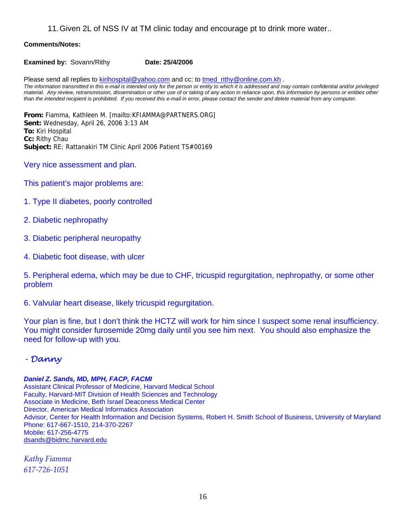11. Given 2L of NSS IV at TM clinic today and encourage pt to drink more water..

#### **Comments/Notes:**

**Examined by:** Sovann/Rithy **Date: 25/4/2006** 

Please send all replies to **[kirihospital@yahoo.com](mailto:kirihospital@yahoo.com)** and cc: to [tmed\\_rithy@online.com.kh](mailto:tmed_rithy@bigpond.com.kh) . *The information transmitted in this e-mail is intended only for the person or entity to which it is addressed and may contain confidential and/or privileged material. Any review, retransmission, dissemination or other use of or taking of any action in reliance upon, this information by persons or entities other than the intended recipient is prohibited. If you received this e-mail in error, please contact the sender and delete material from any computer.*

**From:** Fiamma, Kathleen M. [mailto:KFIAMMA@PARTNERS.ORG] **Sent:** Wednesday, April 26, 2006 3:13 AM **To:** Kiri Hospital **Cc:** Rithy Chau **Subject:** RE: Rattanakiri TM Clinic April 2006 Patient TS#00169

- Very nice assessment and plan.
- This patient's major problems are:
- 1. Type II diabetes, poorly controlled
- 2. Diabetic nephropathy
- 3. Diabetic peripheral neuropathy
- 4. Diabetic foot disease, with ulcer

5. Peripheral edema, which may be due to CHF, tricuspid regurgitation, nephropathy, or some other problem

6. Valvular heart disease, likely tricuspid regurgitation.

Your plan is fine, but I don't think the HCTZ will work for him since I suspect some renal insufficiency. You might consider furosemide 20mg daily until you see him next. You should also emphasize the need for follow-up with you.

## *- Danny*

#### *Daniel Z. Sands, MD, MPH, FACP, FACMI*

Assistant Clinical Professor of Medicine, Harvard Medical School Faculty, Harvard-MIT Division of Health Sciences and Technology Associate in Medicine, Beth Israel Deaconess Medical Center Director, American Medical Informatics Association Advisor, Center for Health Information and Decision Systems, Robert H. Smith School of Business, University of Maryland Phone: 617-667-1510, 214-370-2267 Mobile: 617-256-4775 [dsands@bidmc.harvard.edu](mailto:dsands@bidmc.harvard.edu)

*Kathy Fiamma 617‐726‐1051*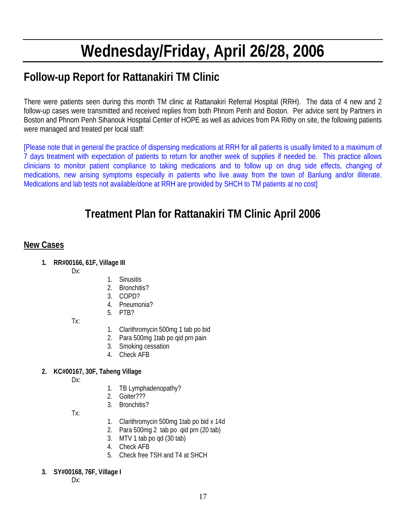# **Wednesday/Friday, April 26/28, 2006**

# **Follow-up Report for Rattanakiri TM Clinic**

There were patients seen during this month TM clinic at Rattanakiri Referral Hospital (RRH). The data of 4 new and 2 follow-up cases were transmitted and received replies from both Phnom Penh and Boston. Per advice sent by Partners in Boston and Phnom Penh Sihanouk Hospital Center of HOPE as well as advices from PA Rithy on site, the following patients were managed and treated per local staff:

[Please note that in general the practice of dispensing medications at RRH for all patients is usually limited to a maximum of 7 days treatment with expectation of patients to return for another week of supplies if needed be. This practice allows clinicians to monitor patient compliance to taking medications and to follow up on drug side effects, changing of medications, new arising symptoms especially in patients who live away from the town of Banlung and/or illiterate. Medications and lab tests not available/done at RRH are provided by SHCH to TM patients at no cost]

# **Treatment Plan for Rattanakiri TM Clinic April 2006**

## **New Cases**

- **1. RR#00166, 61F, Village III** 
	- Dx:
- 1. Sinusitis
- 2. Bronchitis?
- 3. COPD?
- 4. Pneumonia?
- 5. PTB?

Tx:

- 1. Clarithromycin 500mg 1 tab po bid
- 2. Para 500mg 1tab po qid prn pain
- 3. Smoking cessation
- 4. Check AFB

## **2. KC#00167, 30F, Taheng Village**

- Dx:
- 1. TB Lymphadenopathy?
- 2. Goiter???
- 3. Bronchitis?

Tx:

- 1. Clarithromycin 500mg 1tab po bid x 14d
- 2. Para 500mg 2 tab po qid prn (20 tab)
- 3. MTV 1 tab po qd (30 tab)
- 4. Check AFB
- 5. Check free TSH and T4 at SHCH
- **3. SY#00168, 76F, Village I**

Dx: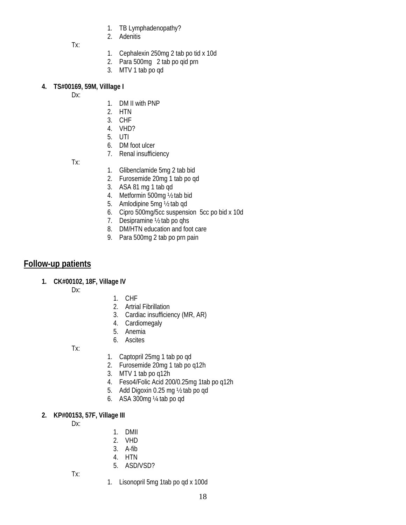- 1. TB Lymphadenopathy?
- 2. Adenitis

Tx:

- 1. Cephalexin 250mg 2 tab po tid x 10d
- 2. Para 500mg 2 tab po qid prn
- 3. MTV 1 tab po qd

## **4. TS#00169, 59M, Villlage I**

Dx:

- 1. DM II with PNP
- 2. HTN
- 3. CHF
- 4. VHD?
- 5. UTI
- 6. DM foot ulcer
- 7. Renal insufficiency

Tx:

- 1. Glibenclamide 5mg 2 tab bid
- 2. Furosemide 20mg 1 tab po qd
- 3. ASA 81 mg 1 tab qd
- 4. Metformin 500mg ½ tab bid
- 5. Amlodipine 5mg ½ tab qd
- 6. Cipro 500mg/5cc suspension 5cc po bid x 10d
- 7. Desipramine ½ tab po qhs
- 8. DM/HTN education and foot care
- 9. Para 500mg 2 tab po prn pain

## **Follow-up patients**

**1. CK#00102, 18F, Village IV** 

Dx:

## 1. CHF

- 2. Artrial Fibrillation
- 3. Cardiac insufficiency (MR, AR)
- 4. Cardiomegaly
- 5. Anemia
- 6. Ascites

Tx:

- 1. Captopril 25mg 1 tab po qd
- 2. Furosemide 20mg 1 tab po q12h
- 3. MTV 1 tab po q12h
- 4. Feso4/Folic Acid 200/0.25mg 1tab po q12h
- 5. Add Digoxin 0.25 mg ½ tab po qd
- 6. ASA 300mg ¼ tab po qd

## **2. KP#00153, 57F, Village III**

Dx:

- 1. DMII
- 2. VHD
- 3. A-fib
- 4. HTN
- 5. ASD/VSD?

Tx:

1. Lisonopril 5mg 1tab po qd x 100d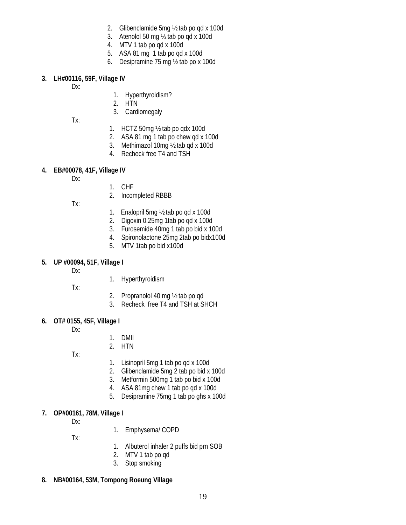- 2. Glibenclamide 5mg ½ tab po qd x 100d
- 3. Atenolol 50 mg ½ tab po qd x 100d
- 4. MTV 1 tab po qd x 100d
- 5. ASA 81 mg 1 tab po qd x 100d
- 6. Desipramine 75 mg ½ tab po x 100d

#### **3. LH#00116, 59F, Village IV**

Dx:

- 1. Hyperthyroidism?
- 2. HTN
- 3. Cardiomegaly

Tx:

- 1. HCTZ 50mg  $\frac{1}{2}$  tab po gdx 100d
- 2. ASA 81 mg 1 tab po chew qd x 100d
- 3. Methimazol 10mg ½ tab qd x 100d
- 4. Recheck free T4 and TSH

## **4. EB#00078, 41F, Village IV**

Dx:

- 1. CHF
- 2. Incompleted RBBB

Tx:

- 1. Enalopril 5mg ½ tab po qd x 100d
- 2. Digoxin 0.25mg 1tab po qd x 100d
- 3. Furosemide 40mg 1 tab po bid x 100d
- 4. Spironolactone 25mg 2tab po bidx100d
- 5. MTV 1tab po bid x100d

#### **5. UP #00094, 51F, Village I**

- Dx:
- 1. Hyperthyroidism
- Tx:
- 2. Propranolol 40 mg ½ tab po qd
- 3. Recheck free T4 and TSH at SHCH

## **6. OT# 0155, 45F, Village I**

Dx:

- 1. DMII
- 2. HTN

Tx:

- 1. Lisinopril 5mg 1 tab po qd x 100d
- 2. Glibenclamide 5mg 2 tab po bid x 100d
- 3. Metformin 500mg 1 tab po bid x 100d
- 4. ASA 81mg chew 1 tab po qd x 100d
- 5. Desipramine 75mg 1 tab po ghs x 100d

## **7. OP#00161, 78M, Village I**

- Dx:
- 1. Emphysema/ COPD

Tx:

- 1. Albuterol inhaler 2 puffs bid prn SOB
- 2. MTV 1 tab po qd
- 3. Stop smoking

## **8. NB#00164, 53M, Tompong Roeung Village**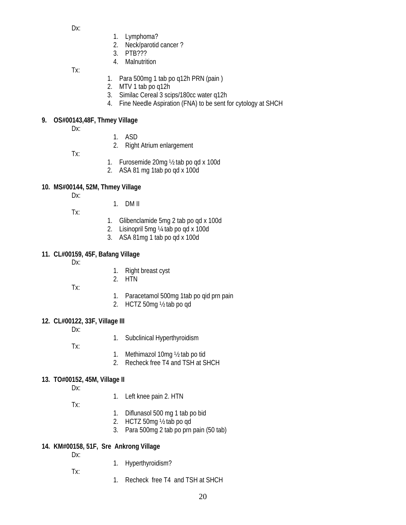Dx:

- 1. Lymphoma?
- 2. Neck/parotid cancer ?
- 3. PTB???
- 4. Malnutrition

Tx:

- 1. Para 500mg 1 tab po q12h PRN (pain )
- 2. MTV 1 tab po q12h
- 3. Similac Cereal 3 scips/180cc water q12h
- 4. Fine Needle Aspiration (FNA) to be sent for cytology at SHCH

## **9. OS#00143,48F, Thmey Village**

- Dx:
- 1. ASD
- 2. Right Atrium enlargement
- Tx:
- 1. Furosemide 20mg ½ tab po qd x 100d
- 2. ASA 81 mg 1tab po qd x 100d

## **10. MS#00144, 52M, Thmey Village**

- Dx:
- 1. DM II
- Tx:
- 1. Glibenclamide 5mg 2 tab po qd x 100d
- 2. Lisinopril 5mg ¼ tab po qd x 100d
- 3. ASA 81mg 1 tab po qd x 100d

## **11. CL#00159, 45F, Bafang Village**

- Dx:
- 1. Right breast cyst
- 2. HTN

Tx:

- 1. Paracetamol 500mg 1tab po qid prn pain
- 2. HCTZ 50mg ½ tab po qd

## **12. CL#00122, 33F, Village III**

Dx:

1. Subclinical Hyperthyroidism

Tx:

- 1. Methimazol 10mg ½ tab po tid
- 2. Recheck free T4 and TSH at SHCH

## **13. TO#00152, 45M, Village II**

Dx:

- 1. Left knee pain 2. HTN
- Tx:
- 1. Diflunasol 500 mg 1 tab po bid
- 2. HCTZ 50mg ½ tab po qd
- 3. Para 500mg 2 tab po prn pain (50 tab)

## **14. KM#00158, 51F, Sre Ankrong Village**

Dx:

Tx:

- 1. Hyperthyroidism?
- 1. Recheck free T4 and TSH at SHCH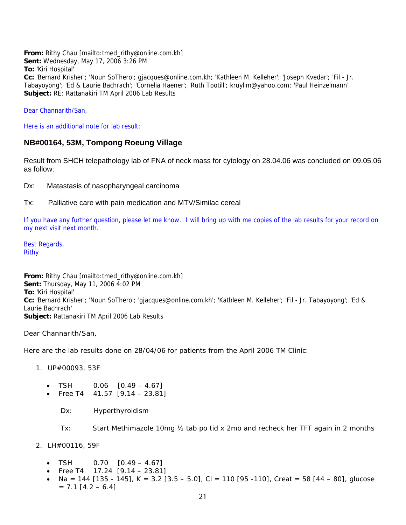**From:** Rithy Chau [mailto:tmed\_rithy@online.com.kh] **Sent:** Wednesday, May 17, 2006 3:26 PM **To:** 'Kiri Hospital' **Cc:** 'Bernard Krisher'; 'Noun SoThero'; gjacques@online.com.kh; 'Kathleen M. Kelleher'; 'Joseph Kvedar'; 'Fil - Jr. Tabayoyong'; 'Ed & Laurie Bachrach'; 'Cornelia Haener'; 'Ruth Tootill'; kruylim@yahoo.com; 'Paul Heinzelmann' **Subject:** RE: Rattanakiri TM April 2006 Lab Results

Dear Channarith/San,

Here is an additional note for lab result:

## **NB#00164, 53M, Tompong Roeung Village**

Result from SHCH telepathology lab of FNA of neck mass for cytology on 28.04.06 was concluded on 09.05.06 as follow:

Dx: Matastasis of nasopharyngeal carcinoma

Tx: Palliative care with pain medication and MTV/Similac cereal

If you have any further question, please let me know. I will bring up with me copies of the lab results for your record on my next visit next month.

Best Regards, Rithy

**From:** Rithy Chau [mailto:tmed\_rithy@online.com.kh] **Sent:** Thursday, May 11, 2006 4:02 PM **To:** 'Kiri Hospital' **Cc:** 'Bernard Krisher'; 'Noun SoThero'; 'gjacques@online.com.kh'; 'Kathleen M. Kelleher'; 'Fil - Jr. Tabayoyong'; 'Ed & Laurie Bachrach' **Subject:** Rattanakiri TM April 2006 Lab Results

Dear Channarith/San,

Here are the lab results done on 28/04/06 for patients from the April 2006 TM Clinic:

- 1. UP#00093, 53F
	- $TSH$  0.06  $[0.49 4.67]$ 
		- Free T4  $41.57$  [9.14 23.81]
			- Dx: Hyperthyroidism

Tx: Start Methimazole 10mg ½ tab po tid x 2mo and recheck her TFT again in 2 months

- 2. LH#00116, 59F
	- TSH 0.70 [0.49 4.67]
	- Free T4  $17.24$  [9.14 23.81]
	- $Na = 144$  [135 145], K = 3.2 [3.5 5.0], Cl = 110 [95 -110], Creat = 58 [44 80], glucose  $= 7.1$  [4.2 – 6.4]